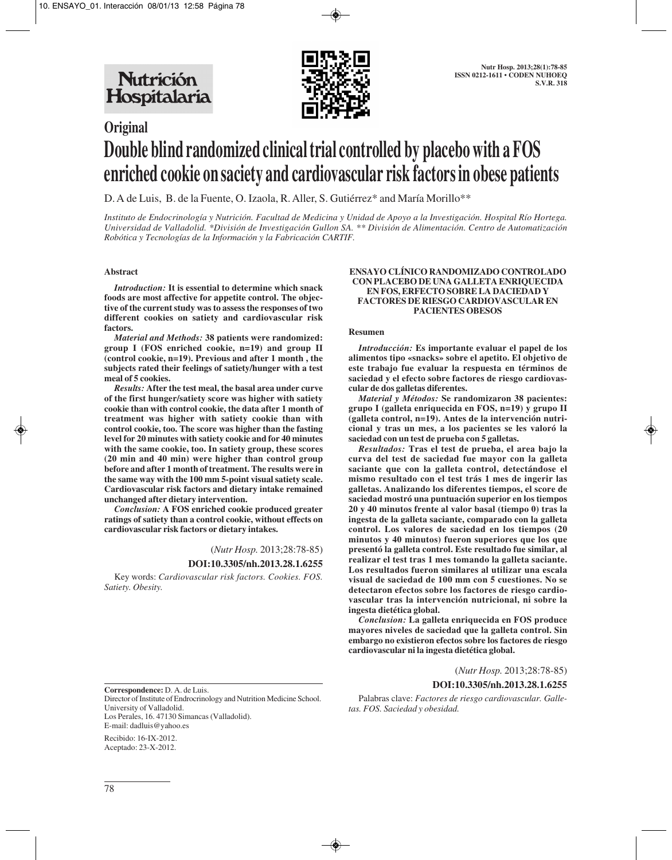Nutrición Hospitalaria



# **Original Double blind randomized clinical trial controlled by placebo with a FOS enriched cookie on saciety and cardiovascular risk factors in obese patients**

D. A de Luis, B. de la Fuente, O. Izaola, R. Aller, S. Gutiérrez\* and María Morillo\*\*

*Instituto de Endocrinología y Nutrición. Facultad de Medicina y Unidad de Apoyo a la Investigación. Hospital Río Hortega. Universidad de Valladolid. \*División de Investigación Gullon SA. \*\* División de Alimentación. Centro de Automatización Robótica y Tecnologías de la Información y la Fabricación CARTIF.*

# **Abstract**

*Introduction:* **It is essential to determine which snack foods are most affective for appetite control. The objective of the current study was to assess the responses of two different cookies on satiety and cardiovascular risk factors.** 

*Material and Methods:* **38 patients were randomized: group I (FOS enriched cookie, n=19) and group II (control cookie, n=19). Previous and after 1 month , the subjects rated their feelings of satiety/hunger with a test meal of 5 cookies.**

*Results:* **After the test meal, the basal area under curve of the first hunger/satiety score was higher with satiety cookie than with control cookie, the data after 1 month of treatment was higher with satiety cookie than with control cookie, too. The score was higher than the fasting level for 20 minutes with satiety cookie and for 40 minutes with the same cookie, too. In satiety group, these scores (20 min and 40 min) were higher than control group before and after 1 month of treatment. The results were in the same way with the 100 mm 5-point visual satiety scale. Cardiovascular risk factors and dietary intake remained unchanged after dietary intervention.**

*Conclusion:* **A FOS enriched cookie produced greater ratings of satiety than a control cookie, without effects on cardiovascular risk factors or dietary intakes.** 

(*Nutr Hosp.* 2013;28:78-85)

#### **DOI:10.3305/nh.2013.28.1.6255**

Key words: *Cardiovascular risk factors. Cookies. FOS. Satiety. Obesity.*

#### **ENSAYO CLÍNICO RANDOMIZADO CONTROLADO CON PLACEBO DE UNA GALLETA ENRIQUECIDA EN FOS, ERFECTO SOBRE LA DACIEDAD Y FACTORES DE RIESGO CARDIOVASCULAR EN PACIENTES OBESOS**

#### **Resumen**

*Introducción:* **Es importante evaluar el papel de los alimentos tipo «snacks» sobre el apetito. El objetivo de este trabajo fue evaluar la respuesta en términos de saciedad y el efecto sobre factores de riesgo cardiovascular de dos galletas diferentes.** 

*Material y Métodos:* **Se randomizaron 38 pacientes: grupo I (galleta enriquecida en FOS, n=19) y grupo II (galleta control, n=19). Antes de la intervención nutricional y tras un mes, a los pacientes se les valoró la saciedad con un test de prueba con 5 galletas.** 

*Resultados:* **Tras el test de prueba, el area bajo la curva del test de saciedad fue mayor con la galleta saciante que con la galleta control, detectándose el mismo resultado con el test trás 1 mes de ingerir las galletas. Analizando los diferentes tiempos, el score de saciedad mostró una puntuación superior en los tiempos 20 y 40 minutos frente al valor basal (tiempo 0) tras la ingesta de la galleta saciante, comparado con la galleta control. Los valores de saciedad en los tiempos (20 minutos y 40 minutos) fueron superiores que los que presentó la galleta control. Este resultado fue similar, al realizar el test tras 1 mes tomando la galleta saciante. Los resultados fueron similares al utilizar una escala visual de saciedad de 100 mm con 5 cuestiones. No se detectaron efectos sobre los factores de riesgo cardiovascular tras la intervención nutricional, ni sobre la ingesta dietética global.**

*Conclusion:* **La galleta enriquecida en FOS produce mayores niveles de saciedad que la galleta control. Sin embargo no existieron efectos sobre los factores de riesgo cardiovascular ni la ingesta dietética global.** 

(*Nutr Hosp.* 2013;28:78-85)

# **DOI:10.3305/nh.2013.28.1.6255**

**Correspondence:** D. A. de Luis.

Director of Institute of Endrocrinology and Nutrition Medicine School. University of Valladolid. Los Perales, 16. 47130 Simancas (Valladolid).

E-mail: dadluis@yahoo.es

Recibido: 16-IX-2012. Aceptado: 23-X-2012.

Palabras clave: *Factores de riesgo cardiovascular. Galletas. FOS. Saciedad y obesidad.*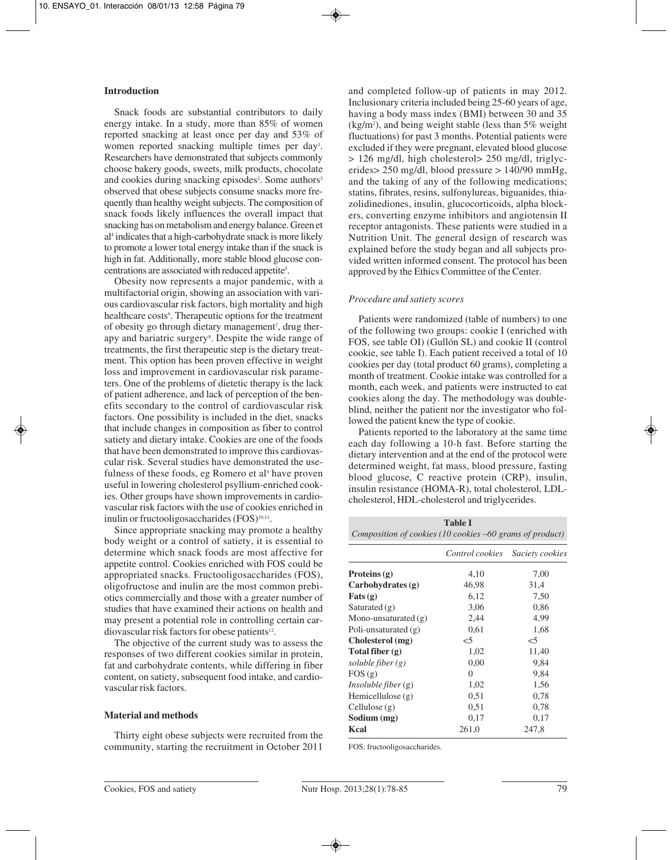# **Introduction**

Snack foods are substantial contributors to daily energy intake. In a study, more than 85% of women reported snacking at least once per day and 53% of women reported snacking multiple times per day<sup>1</sup>. Researchers have demonstrated that subjects commonly choose bakery goods, sweets, milk products, chocolate and cookies during snacking episodes<sup>2</sup>. Some authors<sup>3</sup> observed that obese subjects consume snacks more frequently than healthy weight subjects. The composition of snack foods likely influences the overall impact that snacking has on metabolism and energy balance. Green et al4 indicates that a high-carbohydrate snack is more likely to promote a lower total energy intake than if the snack is high in fat. Additionally, more stable blood glucose concentrations are associated with reduced appetite5 .

Obesity now represents a major pandemic, with a multifactorial origin, showing an association with various cardiovascular risk factors, high mortality and high healthcare costs<sup>6</sup>. Therapeutic options for the treatment of obesity go through dietary management<sup>7</sup>, drug therapy and bariatric surgery<sup>8</sup>. Despite the wide range of treatments, the first therapeutic step is the dietary treatment. This option has been proven effective in weight loss and improvement in cardiovascular risk parameters. One of the problems of dietetic therapy is the lack of patient adherence, and lack of perception of the benefits secondary to the control of cardiovascular risk factors. One possibility is included in the diet, snacks that include changes in composition as fiber to control satiety and dietary intake. Cookies are one of the foods that have been demonstrated to improve this cardiovascular risk. Several studies have demonstrated the usefulness of these foods, eg Romero et al<sup>9</sup> have proven useful in lowering cholesterol psyllium-enriched cookies. Other groups have shown improvements in cardiovascular risk factors with the use of cookies enriched in inulin or fructooligosaccharides (FOS)<sup>10,11</sup>.

Since appropriate snacking may promote a healthy body weight or a control of satiety, it is essential to determine which snack foods are most affective for appetite control. Cookies enriched with FOS could be appropriated snacks. Fructooligosaccharides (FOS), oligofructose and inulin are the most common prebiotics commercially and those with a greater number of studies that have examined their actions on health and may present a potential role in controlling certain cardiovascular risk factors for obese patients<sup>12</sup>.

The objective of the current study was to assess the responses of two different cookies similar in protein, fat and carbohydrate contents, while differing in fiber content, on satiety, subsequent food intake, and cardiovascular risk factors.

#### **Material and methods**

Thirty eight obese subjects were recruited from the community, starting the recruitment in October 2011

and completed follow-up of patients in may 2012. Inclusionary criteria included being 25-60 years of age, having a body mass index (BMI) between 30 and 35  $(kg/m<sup>2</sup>)$ , and being weight stable (less than 5% weight fluctuations) for past 3 months. Potential patients were excluded if they were pregnant, elevated blood glucose > 126 mg/dl, high cholesterol> 250 mg/dl, triglycerides> 250 mg/dl, blood pressure > 140/90 mmHg, and the taking of any of the following medications; statins, fibrates, resins, sulfonylureas, biguanides, thiazolidinediones, insulin, glucocorticoids, alpha blockers, converting enzyme inhibitors and angiotensin II receptor antagonists. These patients were studied in a Nutrition Unit. The general design of research was explained before the study began and all subjects provided written informed consent. The protocol has been approved by the Ethics Committee of the Center.

#### *Procedure and satiety scores*

Patients were randomized (table of numbers) to one of the following two groups: cookie I (enriched with FOS, see table OI) (Gullón SL) and cookie II (control cookie, see table I). Each patient received a total of 10 cookies per day (total product 60 grams), completing a month of treatment. Cookie intake was controlled for a month, each week, and patients were instructed to eat cookies along the day. The methodology was doubleblind, neither the patient nor the investigator who followed the patient knew the type of cookie.

Patients reported to the laboratory at the same time each day following a 10-h fast. Before starting the dietary intervention and at the end of the protocol were determined weight, fat mass, blood pressure, fasting blood glucose, C reactive protein (CRP), insulin, insulin resistance (HOMA-R), total cholesterol, LDLcholesterol, HDL-cholesterol and triglycerides.

| <b>Table I</b><br>Composition of cookies (10 cookies –60 grams of product) |                 |                 |  |  |
|----------------------------------------------------------------------------|-----------------|-----------------|--|--|
|                                                                            | Control cookies | Saciety cookies |  |  |
| Proteins $(g)$                                                             | 4,10            | 7,00            |  |  |
| Carbohydrates (g)                                                          | 46,98           | 31,4            |  |  |
| $\text{Fats}(\mathbf{g})$                                                  | 6,12            | 7,50            |  |  |
| Saturated $(g)$                                                            | 3,06            | 0,86            |  |  |
| Mono-unsaturated $(g)$                                                     | 2,44            | 4,99            |  |  |
| Poli-unsaturated $(g)$                                                     | 0,61            | 1,68            |  |  |
| Cholesterol (mg)                                                           | $<$ 5           | $<$ 5           |  |  |
| Total fiber (g)                                                            | 1,02            | 11,40           |  |  |
| soluble fiber $(g)$                                                        | 0,00            | 9,84            |  |  |
| FOS(g)                                                                     | $\theta$        | 9,84            |  |  |
| <i>Insoluble fiber</i> $(g)$                                               | 1,02            | 1,56            |  |  |
| Hemicellulose $(g)$                                                        | 0,51            | 0,78            |  |  |
| Cellulose(g)                                                               | 0,51            | 0,78            |  |  |
| Sodium (mg)                                                                | 0,17            | 0,17            |  |  |
| Kcal                                                                       | 261,0           | 247,8           |  |  |

FOS: fructooligosaccharides.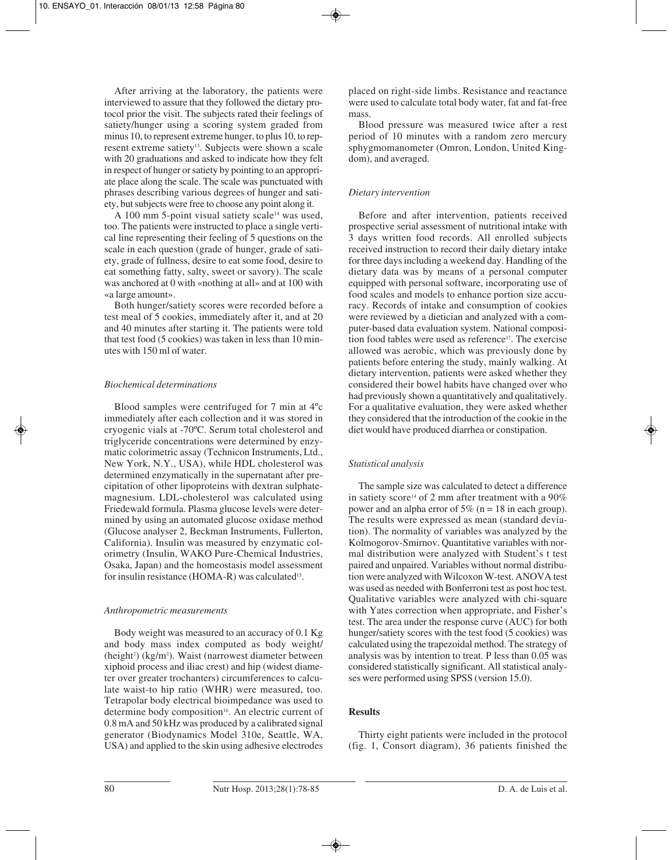After arriving at the laboratory, the patients were interviewed to assure that they followed the dietary protocol prior the visit. The subjects rated their feelings of satiety/hunger using a scoring system graded from minus 10, to represent extreme hunger, to plus 10, to represent extreme satiety<sup>13</sup>. Subjects were shown a scale with 20 graduations and asked to indicate how they felt in respect of hunger or satiety by pointing to an appropriate place along the scale. The scale was punctuated with phrases describing various degrees of hunger and satiety, but subjects were free to choose any point along it.

A 100 mm 5-point visual satiety scale<sup>14</sup> was used, too. The patients were instructed to place a single vertical line representing their feeling of 5 questions on the scale in each question (grade of hunger, grade of satiety, grade of fullness, desire to eat some food, desire to eat something fatty, salty, sweet or savory). The scale was anchored at 0 with «nothing at all» and at 100 with «a large amount».

Both hunger/satiety scores were recorded before a test meal of 5 cookies, immediately after it, and at 20 and 40 minutes after starting it. The patients were told that test food (5 cookies) was taken in less than 10 minutes with 150 ml of water.

# *Biochemical determinations*

Blood samples were centrifuged for 7 min at 4ºc immediately after each collection and it was stored in cryogenic vials at -70ºC. Serum total cholesterol and triglyceride concentrations were determined by enzymatic colorimetric assay (Technicon Instruments, Ltd., New York, N.Y., USA), while HDL cholesterol was determined enzymatically in the supernatant after precipitation of other lipoproteins with dextran sulphatemagnesium. LDL-cholesterol was calculated using Friedewald formula. Plasma glucose levels were determined by using an automated glucose oxidase method (Glucose analyser 2, Beckman Instruments, Fullerton, California). Insulin was measured by enzymatic colorimetry (Insulin, WAKO Pure-Chemical Industries, Osaka, Japan) and the homeostasis model assessment for insulin resistance (HOMA-R) was calculated<sup>15</sup>.

#### *Anthropometric measurements*

Body weight was measured to an accuracy of 0.1 Kg and body mass index computed as body weight/ (height<sup>2</sup>) (kg/m<sup>2</sup>). Waist (narrowest diameter between xiphoid process and iliac crest) and hip (widest diameter over greater trochanters) circumferences to calculate waist-to hip ratio (WHR) were measured, too. Tetrapolar body electrical bioimpedance was used to determine body composition<sup>16</sup>. An electric current of 0.8 mA and 50 kHz was produced by a calibrated signal generator (Biodynamics Model 310e, Seattle, WA, USA) and applied to the skin using adhesive electrodes

placed on right-side limbs. Resistance and reactance were used to calculate total body water, fat and fat-free mass.

Blood pressure was measured twice after a rest period of 10 minutes with a random zero mercury sphygmomanometer (Omron, London, United Kingdom), and averaged.

# *Dietary intervention*

Before and after intervention, patients received prospective serial assessment of nutritional intake with 3 days written food records. All enrolled subjects received instruction to record their daily dietary intake for three days including a weekend day. Handling of the dietary data was by means of a personal computer equipped with personal software, incorporating use of food scales and models to enhance portion size accuracy. Records of intake and consumption of cookies were reviewed by a dietician and analyzed with a computer-based data evaluation system. National composition food tables were used as reference<sup>17</sup>. The exercise allowed was aerobic, which was previously done by patients before entering the study, mainly walking. At dietary intervention, patients were asked whether they considered their bowel habits have changed over who had previously shown a quantitatively and qualitatively. For a qualitative evaluation, they were asked whether they considered that the introduction of the cookie in the diet would have produced diarrhea or constipation.

# *Statistical analysis*

The sample size was calculated to detect a difference in satiety score<sup>14</sup> of 2 mm after treatment with a  $90\%$ power and an alpha error of 5% (n = 18 in each group). The results were expressed as mean (standard deviation). The normality of variables was analyzed by the Kolmogorov-Smirnov. Quantitative variables with normal distribution were analyzed with Student's t test paired and unpaired. Variables without normal distribution were analyzed with Wilcoxon W-test. ANOVA test was used as needed with Bonferroni test as post hoc test. Qualitative variables were analyzed with chi-square with Yates correction when appropriate, and Fisher's test. The area under the response curve (AUC) for both hunger/satiety scores with the test food (5 cookies) was calculated using the trapezoidal method. The strategy of analysis was by intention to treat. P less than 0.05 was considered statistically significant. All statistical analyses were performed using SPSS (version 15.0).

# **Results**

Thirty eight patients were included in the protocol (fig. 1, Consort diagram), 36 patients finished the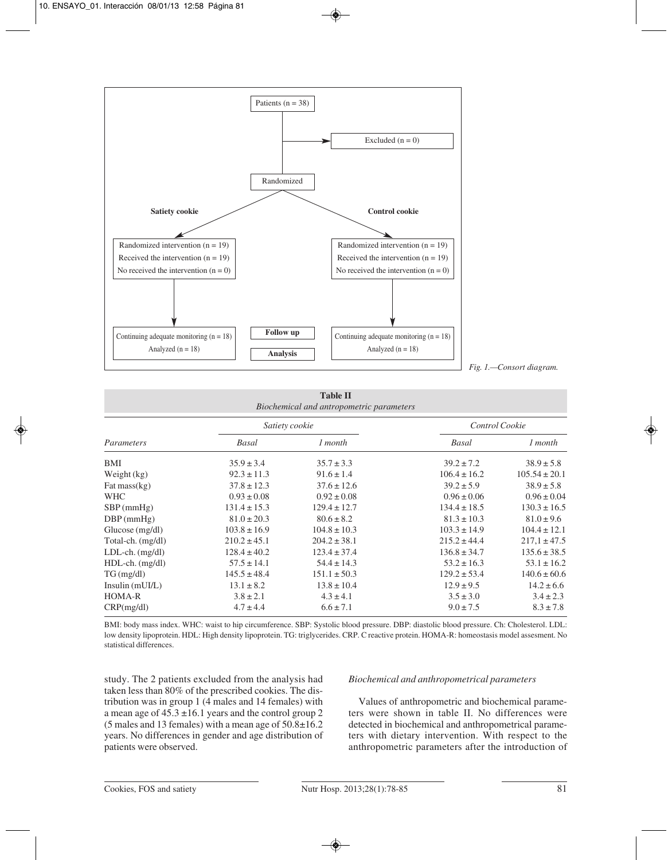

*Fig. 1.—Consort diagram.*

**Table II** *Biochemical and antropometric parameters*

|                     | Satiety cookie   |                  | Control Cookie   |                   |
|---------------------|------------------|------------------|------------------|-------------------|
| Parameters          | Basal            | 1 month          | Basal            | 1 month           |
| BMI                 | $35.9 \pm 3.4$   | $35.7 \pm 3.3$   | $39.2 \pm 7.2$   | $38.9 \pm 5.8$    |
| Weight $(kg)$       | $92.3 \pm 11.3$  | $91.6 \pm 1.4$   | $106.4 \pm 16.2$ | $105.54 \pm 20.1$ |
| Fat mass $(kg)$     | $37.8 \pm 12.3$  | $37.6 \pm 12.6$  | $39.2 \pm 5.9$   | $38.9 \pm 5.8$    |
| <b>WHC</b>          | $0.93 \pm 0.08$  | $0.92 \pm 0.08$  | $0.96 \pm 0.06$  | $0.96 \pm 0.04$   |
| $SBP$ (mmHg)        | $131.4 \pm 15.3$ | $129.4 \pm 12.7$ | $134.4 \pm 18.5$ | $130.3 \pm 16.5$  |
| $DBP$ (mmHg)        | $81.0 \pm 20.3$  | $80.6 \pm 8.2$   | $81.3 \pm 10.3$  | $81.0 \pm 9.6$    |
| Glucose(mg/dl)      | $103.8 \pm 16.9$ | $104.8 \pm 10.3$ | $103.3 \pm 14.9$ | $104.4 \pm 12.1$  |
| Total-ch. (mg/dl)   | $210.2 \pm 45.1$ | $204.2 \pm 38.1$ | $215.2 \pm 44.4$ | $217.1 \pm 47.5$  |
| $LDL-ch.$ $(mg/dl)$ | $128.4 \pm 40.2$ | $123.4 \pm 37.4$ | $136.8 \pm 34.7$ | $135.6 \pm 38.5$  |
| $HDL-ch.$ $(mg/dl)$ | $57.5 \pm 14.1$  | $54.4 \pm 14.3$  | $53.2 \pm 16.3$  | $53.1 \pm 16.2$   |
| $TG \, (mg/dl)$     | $145.5 \pm 48.4$ | $151.1 \pm 50.3$ | $129.2 \pm 53.4$ | $140.6 \pm 60.6$  |
| Insulin (mUI/L)     | $13.1 \pm 8.2$   | $13.8 \pm 10.4$  | $12.9 \pm 9.5$   | $14.2 \pm 6.6$    |
| <b>HOMA-R</b>       | $3.8 \pm 2.1$    | $4.3 \pm 4.1$    | $3.5 \pm 3.0$    | $3.4 \pm 2.3$     |
| CRP(mg/dl)          | $4.7 \pm 4.4$    | $6.6 \pm 7.1$    | $9.0 \pm 7.5$    | $8.3 \pm 7.8$     |

BMI: body mass index. WHC: waist to hip circumference. SBP: Systolic blood pressure. DBP: diastolic blood pressure. Ch: Cholesterol. LDL: low density lipoprotein. HDL: High density lipoprotein. TG: triglycerides. CRP. C reactive protein. HOMA-R: homeostasis model assesment. No statistical differences.

study. The 2 patients excluded from the analysis had taken less than 80% of the prescribed cookies. The distribution was in group 1 (4 males and 14 females) with a mean age of  $45.3 \pm 16.1$  years and the control group 2 (5 males and 13 females) with a mean age of 50.8±16.2 years. No differences in gender and age distribution of patients were observed.

#### *Biochemical and anthropometrical parameters*

Values of anthropometric and biochemical parameters were shown in table II. No differences were detected in biochemical and anthropometrical parameters with dietary intervention. With respect to the anthropometric parameters after the introduction of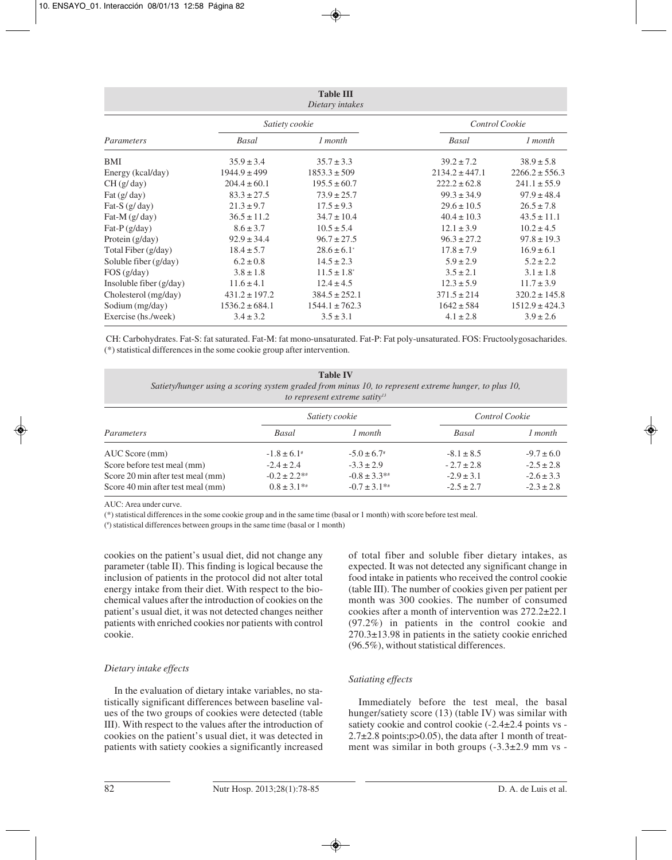| <b>Table III</b><br>Dietary intakes           |                    |                             |                    |                    |
|-----------------------------------------------|--------------------|-----------------------------|--------------------|--------------------|
|                                               | Satiety cookie     |                             | Control Cookie     |                    |
| Parameters                                    | Basal              | 1 month                     | Basal              | 1 month            |
| BMI                                           | $35.9 \pm 3.4$     | $35.7 \pm 3.3$              | $39.2 \pm 7.2$     | $38.9 \pm 5.8$     |
| Energy (kcal/day)                             | $1944.9 \pm 499$   | $1853.3 \pm 509$            | $2134.2 \pm 447.1$ | $2266.2 \pm 556.3$ |
| CH(g/day)                                     | $204.4 \pm 60.1$   | $195.5 \pm 60.7$            | $222.2 \pm 62.8$   | $241.1 \pm 55.9$   |
| $\text{Fat}\left(\frac{g}{\text{day}}\right)$ | $83.3 \pm 27.5$    | $73.9 \pm 25.7$             | $99.3 \pm 34.9$    | $97.9 \pm 48.4$    |
| Fat-S $(g/day)$                               | $21.3 \pm 9.7$     | $17.5 \pm 9.3$              | $29.6 \pm 10.5$    | $26.5 \pm 7.8$     |
| Fat-M $(g/day)$                               | $36.5 \pm 11.2$    | $34.7 \pm 10.4$             | $40.4 \pm 10.3$    | $43.5 \pm 11.1$    |
| Fat-P $(g/day)$                               | $8.6 \pm 3.7$      | $10.5 \pm 5.4$              | $12.1 \pm 3.9$     | $10.2 \pm 4.5$     |
| Protein (g/day)                               | $92.9 \pm 34.4$    | $96.7 \pm 27.5$             | $96.3 \pm 27.2$    | $97.8 \pm 19.3$    |
| Total Fiber (g/day)                           | $18.4 \pm 5.7$     | $28.6 \pm 6.1^{\circ}$      | $17.8 \pm 7.9$     | $16.9 \pm 6.1$     |
| Soluble fiber (g/day)                         | $6.2 \pm 0.8$      | $14.5 \pm 2.3$              | $5.9 \pm 2.9$      | $5.2 \pm 2.2$      |
| FOS(g/day)                                    | $3.8 \pm 1.8$      | $11.5 \pm 1.8$ <sup>*</sup> | $3.5 \pm 2.1$      | $3.1 \pm 1.8$      |
| Insoluble fiber $(g/day)$                     | $11.6 \pm 4.1$     | $12.4 \pm 4.5$              | $12.3 \pm 5.9$     | $11.7 \pm 3.9$     |
| Cholesterol (mg/day)                          | $431.2 \pm 197.2$  | $384.5 \pm 252.1$           | $371.5 \pm 214$    | $320.2 \pm 145.8$  |
| Sodium (mg/day)                               | $1536.2 \pm 684.1$ | $1544.1 \pm 762.3$          | $1642 \pm 584$     | $1512.9 \pm 424.3$ |
| Exercise (hs./week)                           | $3.4 \pm 3.2$      | $3.5 \pm 3.1$               | $4.1 \pm 2.8$      | $3.9 \pm 2.6$      |

CH: Carbohydrates. Fat-S: fat saturated. Fat-M: fat mono-unsaturated. Fat-P: Fat poly-unsaturated. FOS: Fructoolygosacharides. (\*) statistical differences in the some cookie group after intervention.

| <b>Table IV</b><br>Satiety/hunger using a scoring system graded from minus 10, to represent extreme hunger, to plus 10,<br>to represent extreme satity $13$ |                   |                   |                |                |  |
|-------------------------------------------------------------------------------------------------------------------------------------------------------------|-------------------|-------------------|----------------|----------------|--|
|                                                                                                                                                             | Satiety cookie    |                   | Control Cookie |                |  |
| Parameters                                                                                                                                                  | Basal             | 1 month           | Basal          | 1 month        |  |
| AUC Score (mm)                                                                                                                                              | $-1.8 \pm 6.1^*$  | $-5.0 \pm 6.7^*$  | $-8.1 \pm 8.5$ | $-9.7 \pm 6.0$ |  |
| Score before test meal (mm)                                                                                                                                 | $-2.4 \pm 2.4$    | $-3.3 \pm 2.9$    | $-2.7 \pm 2.8$ | $-2.5 \pm 2.8$ |  |
| Score 20 min after test meal (mm)                                                                                                                           | $-0.2 \pm 2.2$ ** | $-0.8 \pm 3.3$ ** | $-2.9 \pm 3.1$ | $-2.6 \pm 3.3$ |  |
| Score 40 min after test meal (mm)                                                                                                                           | $0.8 \pm 3.1$ **  | $-0.7 \pm 3.1$ ** | $-2.5 \pm 2.7$ | $-2.3 \pm 2.8$ |  |

AUC: Area under curve.

(\*) statistical differences in the some cookie group and in the same time (basal or 1 month) with score before test meal.

(# ) statistical differences between groups in the same time (basal or 1 month)

cookies on the patient's usual diet, did not change any parameter (table II). This finding is logical because the inclusion of patients in the protocol did not alter total energy intake from their diet. With respect to the biochemical values after the introduction of cookies on the patient's usual diet, it was not detected changes neither patients with enriched cookies nor patients with control cookie.

#### *Dietary intake effects*

In the evaluation of dietary intake variables, no statistically significant differences between baseline values of the two groups of cookies were detected (table III). With respect to the values after the introduction of cookies on the patient's usual diet, it was detected in patients with satiety cookies a significantly increased

of total fiber and soluble fiber dietary intakes, as expected. It was not detected any significant change in food intake in patients who received the control cookie (table III). The number of cookies given per patient per month was 300 cookies. The number of consumed cookies after a month of intervention was 272.2±22.1 (97.2%) in patients in the control cookie and 270.3±13.98 in patients in the satiety cookie enriched (96.5%), without statistical differences.

# *Satiating effects*

Immediately before the test meal, the basal hunger/satiety score (13) (table IV) was similar with satiety cookie and control cookie (-2.4±2.4 points vs -  $2.7\pm2.8$  points;  $p > 0.05$ ), the data after 1 month of treatment was similar in both groups (-3.3±2.9 mm vs -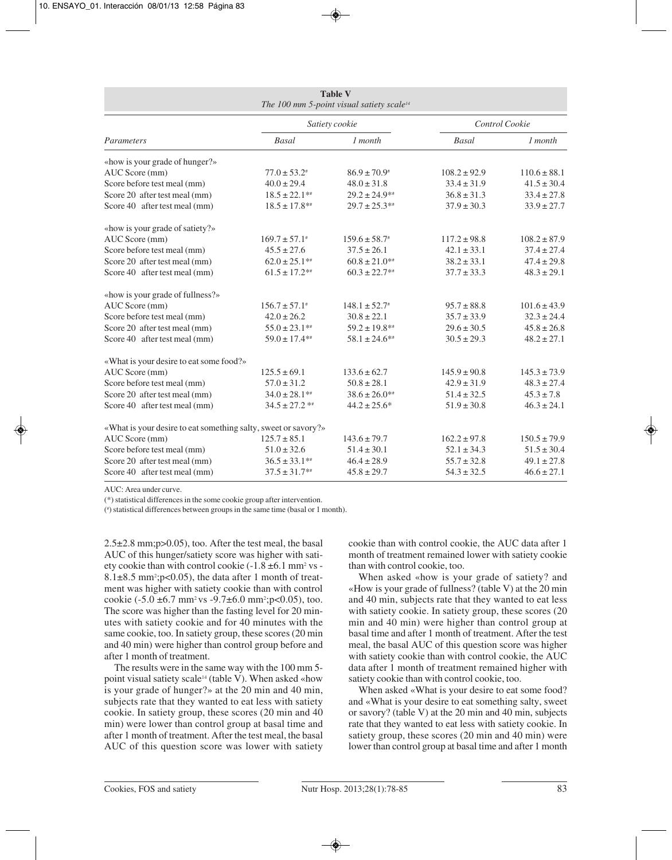| <b>Table V</b><br>The 100 mm 5-point visual satiety scale <sup>14</sup> |                    |                              |                  |                  |  |
|-------------------------------------------------------------------------|--------------------|------------------------------|------------------|------------------|--|
|                                                                         |                    | Satiety cookie               |                  | Control Cookie   |  |
| Parameters                                                              | <b>Basal</b>       | $1$ month                    | <b>Basal</b>     | $1$ month        |  |
| «how is your grade of hunger?»                                          |                    |                              |                  |                  |  |
| AUC Score (mm)                                                          | $77.0 \pm 53.2^*$  | $86.9 \pm 70.9$ <sup>*</sup> | $108.2 \pm 92.9$ | $110.6 \pm 88.1$ |  |
| Score before test meal (mm)                                             | $40.0 \pm 29.4$    | $48.0 \pm 31.8$              | $33.4 \pm 31.9$  | $41.5 \pm 30.4$  |  |
| Score 20 after test meal (mm)                                           | $18.5 \pm 22.1$ ** | $29.2 \pm 24.9**$            | $36.8 \pm 31.3$  | $33.4 \pm 27.8$  |  |
| Score 40 after test meal (mm)                                           | $18.5 \pm 17.8$ ** | $29.7 \pm 25.3**$            | $37.9 \pm 30.3$  | $33.9 \pm 27.7$  |  |
| «how is your grade of satiety?»                                         |                    |                              |                  |                  |  |
| AUC Score (mm)                                                          | $169.7 \pm 57.1^*$ | $159.6 \pm 58.7^*$           | $117.2 \pm 98.8$ | $108.2 \pm 87.9$ |  |
| Score before test meal (mm)                                             | $45.5 \pm 27.6$    | $37.5 \pm 26.1$              | $42.1 \pm 33.1$  | $37.4 \pm 27.4$  |  |
| Score 20 after test meal (mm)                                           | $62.0 \pm 25.1**$  | $60.8 \pm 21.0**$            | $38.2 \pm 33.1$  | $47.4 \pm 29.8$  |  |
| Score 40 after test meal (mm)                                           | $61.5 \pm 17.2$ ** | $60.3 \pm 22.7$ **           | $37.7 \pm 33.3$  | $48.3 \pm 29.1$  |  |
| «how is your grade of fullness?»                                        |                    |                              |                  |                  |  |
| AUC Score (mm)                                                          | $156.7 \pm 57.1*$  | $148.1 \pm 52.7^*$           | $95.7 \pm 88.8$  | $101.6 \pm 43.9$ |  |
| Score before test meal (mm)                                             | $42.0 \pm 26.2$    | $30.8 \pm 22.1$              | $35.7 \pm 33.9$  | $32.3 \pm 24.4$  |  |
| Score 20 after test meal (mm)                                           | $55.0 \pm 23.1$ ** | $59.2 \pm 19.8**$            | $29.6 \pm 30.5$  | $45.8 \pm 26.8$  |  |
| Score 40 after test meal (mm)                                           | $59.0 \pm 17.4**$  | $58.1 \pm 24.6**$            | $30.5 \pm 29.3$  | $48.2 \pm 27.1$  |  |
| «What is your desire to eat some food?»                                 |                    |                              |                  |                  |  |
| AUC Score (mm)                                                          | $125.5 \pm 69.1$   | $133.6 \pm 62.7$             | $145.9 \pm 90.8$ | $145.3 \pm 73.9$ |  |
| Score before test meal (mm)                                             | $57.0 \pm 31.2$    | $50.8 \pm 28.1$              | $42.9 \pm 31.9$  | $48.3 \pm 27.4$  |  |
| Score 20 after test meal (mm)                                           | $34.0 \pm 28.1**$  | $38.6 \pm 26.0**$            | $51.4 \pm 32.5$  | $45.3 \pm 7.8$   |  |
| Score 40 after test meal (mm)                                           | $34.5 \pm 27.2$ ** | $44.2 \pm 25.6^*$            | $51.9 \pm 30.8$  | $46.3 \pm 24.1$  |  |
| «What is your desire to eat something salty, sweet or savory?»          |                    |                              |                  |                  |  |
| AUC Score (mm)                                                          | $125.7 \pm 85.1$   | $143.6 \pm 79.7$             | $162.2 \pm 97.8$ | $150.5 \pm 79.9$ |  |
| Score before test meal (mm)                                             | $51.0 \pm 32.6$    | $51.4 \pm 30.1$              | $52.1 \pm 34.3$  | $51.5 \pm 30.4$  |  |
| Score 20 after test meal (mm)                                           | $36.5 \pm 33.1**$  | $46.4 \pm 28.9$              | $55.7 \pm 32.8$  | $49.1 \pm 27.8$  |  |
| Score 40 after test meal (mm)                                           | $37.5 \pm 31.7**$  | $45.8 \pm 29.7$              | $54.3 \pm 32.5$  | $46.6 \pm 27.1$  |  |

AUC: Area under curve.

(\*) statistical differences in the some cookie group after intervention.

(# ) statistical differences between groups in the same time (basal or 1 month).

2.5±2.8 mm;p>0.05), too. After the test meal, the basal AUC of this hunger/satiety score was higher with satiety cookie than with control cookie  $(-1.8 \pm 6.1 \text{ mm}^2 \text{ vs } 8.1\pm8.5$  mm<sup>2</sup>; p< 0.05), the data after 1 month of treatment was higher with satiety cookie than with control cookie  $(-5.0 \pm 6.7 \text{ mm}^2 \text{ vs } -9.7 \pm 6.0 \text{ mm}^2 \text{ ;p} < 0.05)$ , too. The score was higher than the fasting level for 20 minutes with satiety cookie and for 40 minutes with the same cookie, too. In satiety group, these scores (20 min and 40 min) were higher than control group before and after 1 month of treatment.

The results were in the same way with the 100 mm 5 point visual satiety scale<sup>14</sup> (table V). When asked «how is your grade of hunger?» at the 20 min and 40 min, subjects rate that they wanted to eat less with satiety cookie. In satiety group, these scores (20 min and 40 min) were lower than control group at basal time and after 1 month of treatment. After the test meal, the basal AUC of this question score was lower with satiety cookie than with control cookie, the AUC data after 1 month of treatment remained lower with satiety cookie than with control cookie, too.

When asked «how is your grade of satiety? and «How is your grade of fullness? (table V) at the 20 min and 40 min, subjects rate that they wanted to eat less with satiety cookie. In satiety group, these scores (20 min and 40 min) were higher than control group at basal time and after 1 month of treatment. After the test meal, the basal AUC of this question score was higher with satiety cookie than with control cookie, the AUC data after 1 month of treatment remained higher with satiety cookie than with control cookie, too.

When asked «What is your desire to eat some food? and «What is your desire to eat something salty, sweet or savory? (table V) at the 20 min and 40 min, subjects rate that they wanted to eat less with satiety cookie. In satiety group, these scores (20 min and 40 min) were lower than control group at basal time and after 1 month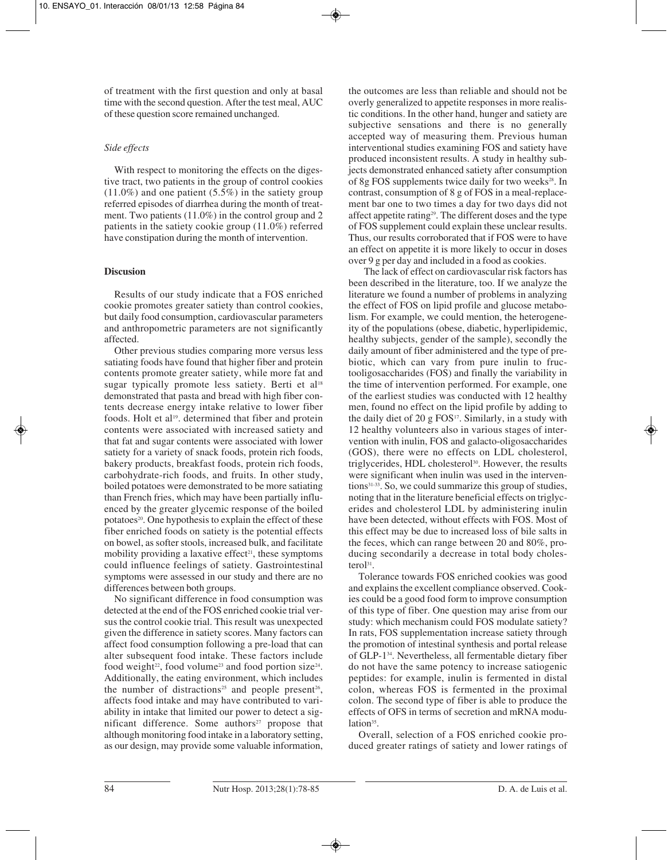of treatment with the first question and only at basal time with the second question. After the test meal, AUC of these question score remained unchanged.

# *Side effects*

With respect to monitoring the effects on the digestive tract, two patients in the group of control cookies (11.0%) and one patient (5.5%) in the satiety group referred episodes of diarrhea during the month of treatment. Two patients (11.0%) in the control group and 2 patients in the satiety cookie group (11.0%) referred have constipation during the month of intervention.

# **Discusion**

Results of our study indicate that a FOS enriched cookie promotes greater satiety than control cookies, but daily food consumption, cardiovascular parameters and anthropometric parameters are not significantly affected.

Other previous studies comparing more versus less satiating foods have found that higher fiber and protein contents promote greater satiety, while more fat and sugar typically promote less satiety. Berti et al<sup>18</sup> demonstrated that pasta and bread with high fiber contents decrease energy intake relative to lower fiber foods. Holt et al<sup>19</sup>. determined that fiber and protein contents were associated with increased satiety and that fat and sugar contents were associated with lower satiety for a variety of snack foods, protein rich foods, bakery products, breakfast foods, protein rich foods, carbohydrate-rich foods, and fruits. In other study, boiled potatoes were demonstrated to be more satiating than French fries, which may have been partially influenced by the greater glycemic response of the boiled potatoes<sup>20</sup>. One hypothesis to explain the effect of these fiber enriched foods on satiety is the potential effects on bowel, as softer stools, increased bulk, and facilitate mobility providing a laxative effect<sup>21</sup>, these symptoms could influence feelings of satiety. Gastrointestinal symptoms were assessed in our study and there are no differences between both groups.

No significant difference in food consumption was detected at the end of the FOS enriched cookie trial versus the control cookie trial. This result was unexpected given the difference in satiety scores. Many factors can affect food consumption following a pre-load that can alter subsequent food intake. These factors include food weight<sup>22</sup>, food volume<sup>23</sup> and food portion size<sup>24</sup>. Additionally, the eating environment, which includes the number of distractions<sup>25</sup> and people present<sup>26</sup>, affects food intake and may have contributed to variability in intake that limited our power to detect a significant difference. Some authors<sup>27</sup> propose that although monitoring food intake in a laboratory setting, as our design, may provide some valuable information, the outcomes are less than reliable and should not be overly generalized to appetite responses in more realistic conditions. In the other hand, hunger and satiety are subjective sensations and there is no generally accepted way of measuring them. Previous human interventional studies examining FOS and satiety have produced inconsistent results. A study in healthy subjects demonstrated enhanced satiety after consumption of 8g FOS supplements twice daily for two weeks<sup>28</sup>. In contrast, consumption of 8 g of FOS in a meal-replacement bar one to two times a day for two days did not affect appetite rating29. The different doses and the type of FOS supplement could explain these unclear results. Thus, our results corroborated that if FOS were to have an effect on appetite it is more likely to occur in doses over 9 g per day and included in a food as cookies.

The lack of effect on cardiovascular risk factors has been described in the literature, too. If we analyze the literature we found a number of problems in analyzing the effect of FOS on lipid profile and glucose metabolism. For example, we could mention, the heterogeneity of the populations (obese, diabetic, hyperlipidemic, healthy subjects, gender of the sample), secondly the daily amount of fiber administered and the type of prebiotic, which can vary from pure inulin to fructooligosaccharides (FOS) and finally the variability in the time of intervention performed. For example, one of the earliest studies was conducted with 12 healthy men, found no effect on the lipid profile by adding to the daily diet of 20 g  $FOS<sup>17</sup>$ . Similarly, in a study with 12 healthy volunteers also in various stages of intervention with inulin, FOS and galacto-oligosaccharides (GOS), there were no effects on LDL cholesterol, triglycerides, HDL cholesterol<sup>30</sup>. However, the results were significant when inulin was used in the interventions<sup>31-33</sup>. So, we could summarize this group of studies, noting that in the literature beneficial effects on triglycerides and cholesterol LDL by administering inulin have been detected, without effects with FOS. Most of this effect may be due to increased loss of bile salts in the feces, which can range between 20 and 80%, producing secondarily a decrease in total body cholesterol<sup>31</sup>.

Tolerance towards FOS enriched cookies was good and explains the excellent compliance observed. Cookies could be a good food form to improve consumption of this type of fiber. One question may arise from our study: which mechanism could FOS modulate satiety? In rats, FOS supplementation increase satiety through the promotion of intestinal synthesis and portal release of GLP-134. Nevertheless, all fermentable dietary fiber do not have the same potency to increase satiogenic peptides: for example, inulin is fermented in distal colon, whereas FOS is fermented in the proximal colon. The second type of fiber is able to produce the effects of OFS in terms of secretion and mRNA modulation<sup>35</sup>.

Overall, selection of a FOS enriched cookie produced greater ratings of satiety and lower ratings of